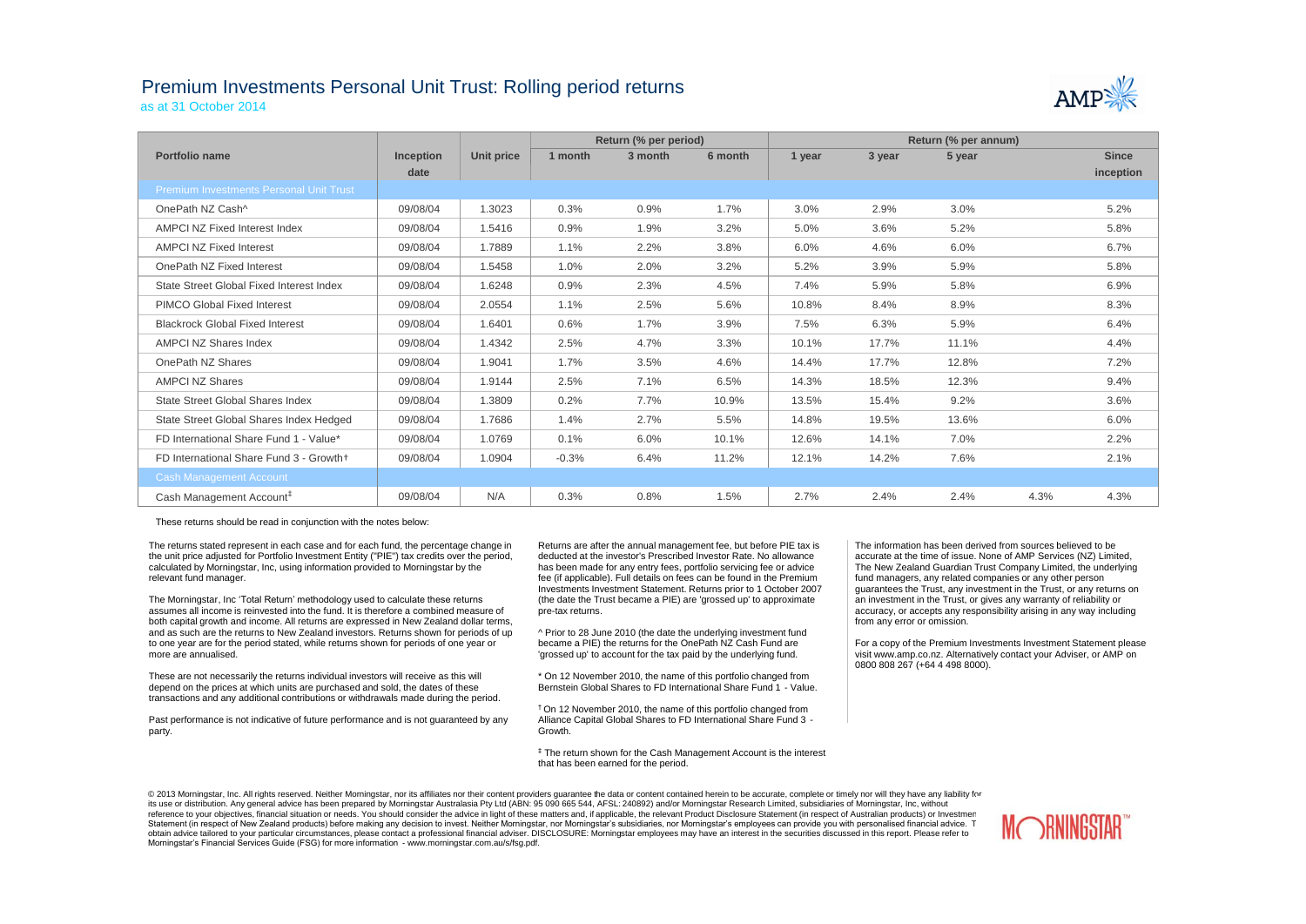## Premium Investments Personal Unit Trust: Rolling period returns as at 31 October 2014



|                                                |                  |            |         | Return (% per period) |         | Return (% per annum) |        |        |      |              |
|------------------------------------------------|------------------|------------|---------|-----------------------|---------|----------------------|--------|--------|------|--------------|
| Portfolio name                                 | <b>Inception</b> | Unit price | 1 month | 3 month               | 6 month | 1 year               | 3 year | 5 year |      | <b>Since</b> |
|                                                | date             |            |         |                       |         |                      |        |        |      | inception    |
| <b>Premium Investments Personal Unit Trust</b> |                  |            |         |                       |         |                      |        |        |      |              |
| OnePath NZ Cash^                               | 09/08/04         | 1.3023     | 0.3%    | 0.9%                  | 1.7%    | 3.0%                 | 2.9%   | 3.0%   |      | 5.2%         |
| <b>AMPCI NZ Fixed Interest Index</b>           | 09/08/04         | 1.5416     | 0.9%    | 1.9%                  | 3.2%    | 5.0%                 | 3.6%   | 5.2%   |      | 5.8%         |
| <b>AMPCI NZ Fixed Interest</b>                 | 09/08/04         | 1.7889     | 1.1%    | 2.2%                  | 3.8%    | 6.0%                 | 4.6%   | 6.0%   |      | 6.7%         |
| OnePath NZ Fixed Interest                      | 09/08/04         | 1.5458     | 1.0%    | 2.0%                  | 3.2%    | 5.2%                 | 3.9%   | 5.9%   |      | 5.8%         |
| State Street Global Fixed Interest Index       | 09/08/04         | 1.6248     | 0.9%    | 2.3%                  | 4.5%    | 7.4%                 | 5.9%   | 5.8%   |      | 6.9%         |
| PIMCO Global Fixed Interest                    | 09/08/04         | 2.0554     | 1.1%    | 2.5%                  | 5.6%    | 10.8%                | 8.4%   | 8.9%   |      | 8.3%         |
| <b>Blackrock Global Fixed Interest</b>         | 09/08/04         | 1.6401     | 0.6%    | 1.7%                  | 3.9%    | 7.5%                 | 6.3%   | 5.9%   |      | 6.4%         |
| <b>AMPCI NZ Shares Index</b>                   | 09/08/04         | 1.4342     | 2.5%    | 4.7%                  | 3.3%    | 10.1%                | 17.7%  | 11.1%  |      | 4.4%         |
| OnePath NZ Shares                              | 09/08/04         | 1.9041     | 1.7%    | 3.5%                  | 4.6%    | 14.4%                | 17.7%  | 12.8%  |      | 7.2%         |
| <b>AMPCI NZ Shares</b>                         | 09/08/04         | 1.9144     | 2.5%    | 7.1%                  | 6.5%    | 14.3%                | 18.5%  | 12.3%  |      | 9.4%         |
| <b>State Street Global Shares Index</b>        | 09/08/04         | 1.3809     | 0.2%    | 7.7%                  | 10.9%   | 13.5%                | 15.4%  | 9.2%   |      | 3.6%         |
| State Street Global Shares Index Hedged        | 09/08/04         | 1.7686     | 1.4%    | 2.7%                  | 5.5%    | 14.8%                | 19.5%  | 13.6%  |      | 6.0%         |
| FD International Share Fund 1 - Value*         | 09/08/04         | 1.0769     | 0.1%    | 6.0%                  | 10.1%   | 12.6%                | 14.1%  | 7.0%   |      | 2.2%         |
| FD International Share Fund 3 - Growth+        | 09/08/04         | 1.0904     | $-0.3%$ | 6.4%                  | 11.2%   | 12.1%                | 14.2%  | 7.6%   |      | 2.1%         |
| <b>Cash Management Account</b>                 |                  |            |         |                       |         |                      |        |        |      |              |
| Cash Management Account <sup>#</sup>           | 09/08/04         | N/A        | 0.3%    | 0.8%                  | 1.5%    | 2.7%                 | 2.4%   | 2.4%   | 4.3% | 4.3%         |

These returns should be read in conjunction with the notes below:

The returns stated represent in each case and for each fund, the percentage change in the unit price adjusted for Portfolio Investment Entity ("PIE") tax credits over the period, calculated by Morningstar, Inc, using information provided to Morningstar by the relevant fund manager.

The Morningstar, Inc 'Total Return' methodology used to calculate these returns assumes all income is reinvested into the fund. It is therefore a combined measure of both capital growth and income. All returns are expressed in New Zealand dollar terms, and as such are the returns to New Zealand investors. Returns shown for periods of up to one year are for the period stated, while returns shown for periods of one year or more are annualised.

These are not necessarily the returns individual investors will receive as this will depend on the prices at which units are purchased and sold, the dates of these transactions and any additional contributions or withdrawals made during the period.

Past performance is not indicative of future performance and is not guaranteed by any party.

Returns are after the annual management fee, but before PIE tax is deducted at the investor's Prescribed Investor Rate. No allowance has been made for any entry fees, portfolio servicing fee or advice fee (if applicable). Full details on fees can be found in the Premium Investments Investment Statement. Returns prior to 1 October 2007 (the date the Trust became a PIE) are 'grossed up' to approximate pre-tax returns.

^ Prior to 28 June 2010 (the date the underlying investment fund became a PIE) the returns for the OnePath NZ Cash Fund are 'grossed up' to account for the tax paid by the underlying fund.

\* On 12 November 2010, the name of this portfolio changed from Bernstein Global Shares to FD International Share Fund 1 - Value.

† On 12 November 2010, the name of this portfolio changed from Alliance Capital Global Shares to FD International Share Fund 3 - Growth.

‡ The return shown for the Cash Management Account is the interest that has been earned for the period.

The information has been derived from sources believed to be accurate at the time of issue. None of AMP Services (NZ) Limited, The New Zealand Guardian Trust Company Limited, the underlying fund managers, any related companies or any other person guarantees the Trust, any investment in the Trust, or any returns on an investment in the Trust, or gives any warranty of reliability or accuracy, or accepts any responsibility arising in any way including from any error or omission.

For a copy of the Premium Investments Investment Statement please visit www.amp.co.nz. Alternatively contact your Adviser, or AMP on 0800 808 267 (+64 4 498 8000).

© 2013 Morningstar, Inc. All rights reserved. Neither Morningstar, nor its affiliates nor their content providers quarantee the data or content contained herein to be accurate, complete or timely nor will they have any lia its use or distribution. Any general advice has been prepared by Morningstar Australasia Pty Ltd (ABN: 95 090 665 544, AFSL: 240892) and/or Morningstar Research Limited, subsidiaries of Morningstar, Inc, without reference to your objectives, financial situation or needs. You should consider the advice in light of these matters and, if applicable, the relevant Product Disclosure Statement (in respect of Australian products) or Inve Statement (in respect of New Zealand products) before making any decision to invest. Neither Morningstar, nor Morningstar's subsidiaries, nor Morningstar's employees can provide you with personalised financial advice. To obtain advice tailored to your particular circumstances, please contact a professional financial adviser. DISCLOSURE: Morningstar employees may have an interest in the securities discussed in this report. Please refer to Morningstar's Financial Services Guide (FSG) for more information - www.morningstar.com.au/s/fsg.pdf.